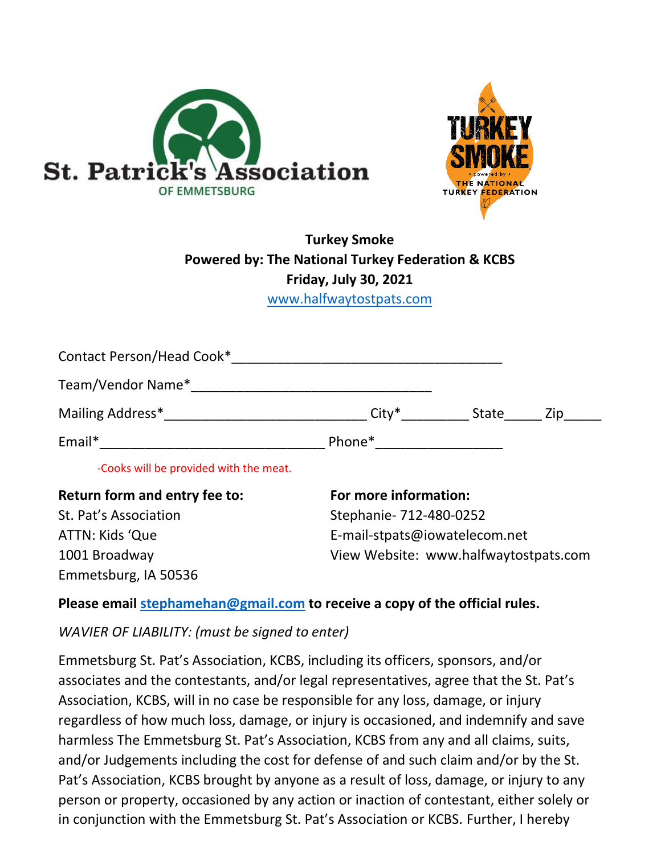



## **Turkey Smoke Powered by: The National Turkey Federation & KCBS Friday, July 30, 2021**

[www.halfwaytostpats.com](http://www.halfwaytostpats.com/)

| -Cooks will be provided with the meat.                                                                          |                                                                                                                                                                                                                                |       |     |
|-----------------------------------------------------------------------------------------------------------------|--------------------------------------------------------------------------------------------------------------------------------------------------------------------------------------------------------------------------------|-------|-----|
| Email*                                                                                                          | Phone* and the state of the state of the state of the state of the state of the state of the state of the state of the state of the state of the state of the state of the state of the state of the state of the state of the |       |     |
|                                                                                                                 | $\mathsf{City}^*$                                                                                                                                                                                                              | State | Zip |
| Team/Vendor Name* Name Alberta Manual Alberta Manual Alberta Manual Alberta Manual Alberta Manual Alberta Manua |                                                                                                                                                                                                                                |       |     |
| Contact Person/Head Cook*                                                                                       |                                                                                                                                                                                                                                |       |     |

Emmetsburg, IA 50536

## St. Pat's Association Stephanie- 712-480-0252 ATTN: Kids 'Que et al. et al. et al. et al. et al. et al. et al. et al. et al. et al. et al. et al. et al. et a 1001 Broadway View Website: www.halfwaytostpats.com

## **Please email [stephamehan@gmail.com](mailto:stephamehan@gmail.com) to receive a copy of the official rules.**

*WAVIER OF LIABILITY: (must be signed to enter)*

Emmetsburg St. Pat's Association, KCBS, including its officers, sponsors, and/or associates and the contestants, and/or legal representatives, agree that the St. Pat's Association, KCBS, will in no case be responsible for any loss, damage, or injury regardless of how much loss, damage, or injury is occasioned, and indemnify and save harmless The Emmetsburg St. Pat's Association, KCBS from any and all claims, suits, and/or Judgements including the cost for defense of and such claim and/or by the St. Pat's Association, KCBS brought by anyone as a result of loss, damage, or injury to any person or property, occasioned by any action or inaction of contestant, either solely or in conjunction with the Emmetsburg St. Pat's Association or KCBS. Further, I hereby